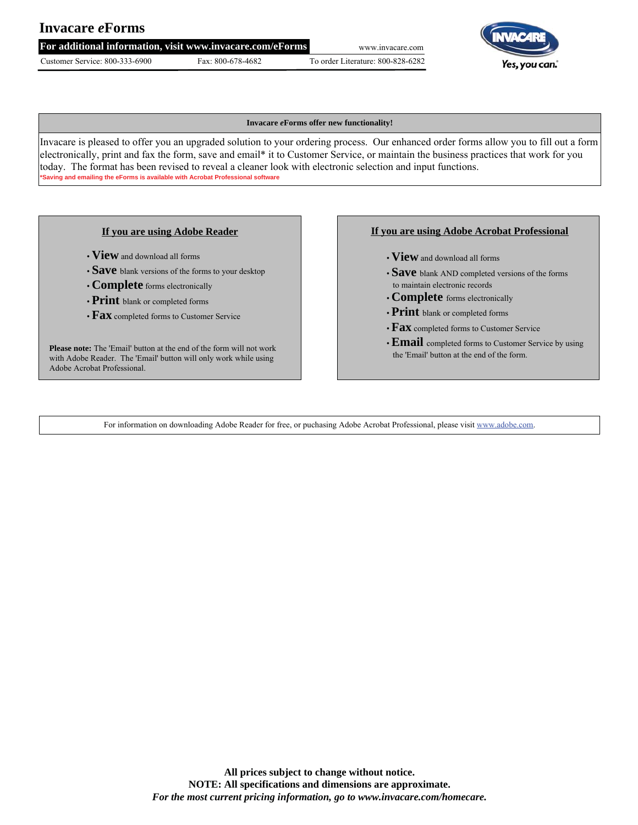# **Invacare** *e***Forms**

**For additional information, visit www.invacare.com/eForms** www.invacare.com

Customer Service: 800-333-6900 Fax: 800-678-4682 To order Literature: 800-828-6282



#### **Invacare** *e***Forms offer new functionality!**

Invacare is pleased to offer you an upgraded solution to your ordering process. Our enhanced order forms allow you to fill out a form electronically, print and fax the form, save and email\* it to Customer Service, or maintain the business practices that work for you today. The format has been revised to reveal a cleaner look with electronic selection and input functions. **\*Saving and emailing the eForms is available with Acrobat Professional software**

### **If you are using Adobe Reader**

- **View** and download all forms
- **Save** blank versions of the forms to your desktop
- **Complete** forms electronically
- **Print** blank or completed forms
- **Fax** completed forms to Customer Service

**Please note:** The 'Email' button at the end of the form will not work with Adobe Reader. The 'Email' button will only work while using Adobe Acrobat Professional.

### **If you are using Adobe Acrobat Professional**

- **View** and download all forms
- **Save** blank AND completed versions of the forms to maintain electronic records
- **Complete** forms electronically
- **Print** blank or completed forms
- **Fax** completed forms to Customer Service
- •**Email** completed forms to Customer Service by using the 'Email' button at the end of the form.

For information on downloading Adobe Reader for free, or puchasing Adobe Acrobat Professional, please visit www.adobe.com.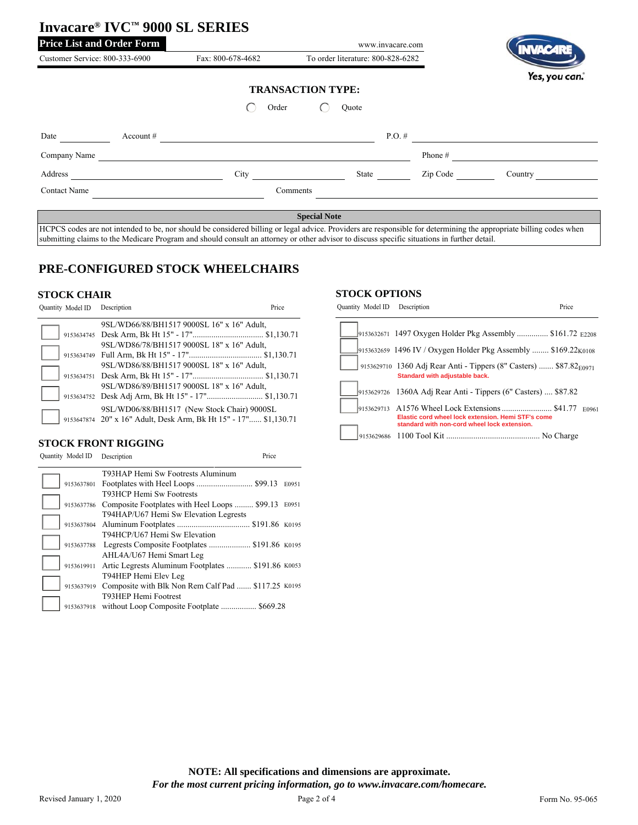|                                                      |             | Invacare® IVC™ 9000 SL SERIES                                                                                                                                      |                          |                                   |           |               |  |
|------------------------------------------------------|-------------|--------------------------------------------------------------------------------------------------------------------------------------------------------------------|--------------------------|-----------------------------------|-----------|---------------|--|
| <b>Price List and Order Form</b><br>www.invacare.com |             |                                                                                                                                                                    |                          |                                   |           |               |  |
| Customer Service: 800-333-6900                       |             | Fax: 800-678-4682                                                                                                                                                  |                          | To order literature: 800-828-6282 |           |               |  |
|                                                      |             |                                                                                                                                                                    | <b>TRANSACTION TYPE:</b> |                                   |           | Yes, you can. |  |
|                                                      |             | Order                                                                                                                                                              | Ouote                    |                                   |           |               |  |
| Date                                                 | Account $#$ |                                                                                                                                                                    |                          | $P.O.$ #                          |           |               |  |
| Company Name                                         |             |                                                                                                                                                                    |                          |                                   | Phone $#$ |               |  |
| Address                                              |             | City                                                                                                                                                               | State                    |                                   | Zip Code  | Country       |  |
| <b>Contact Name</b>                                  |             |                                                                                                                                                                    | Comments                 |                                   |           |               |  |
|                                                      |             | HCPCS codes are not intended to be, nor should be considered billing or legal advice. Providers are responsible for determining the appropriate billing codes when | <b>Special Note</b>      |                                   |           |               |  |
|                                                      |             |                                                                                                                                                                    |                          |                                   |           |               |  |

submitting claims to the Medicare Program and should consult an attorney or other advisor to discuss specific situations in further detail.

# **PRE-CONFIGURED STOCK WHEELCHAIRS**

#### **STOCK CHAIR**

| Quantity Model ID Description |                                                                  | Price |
|-------------------------------|------------------------------------------------------------------|-------|
|                               | 9SL/WD66/88/BH1517 9000SL 16" x 16" Adult,                       |       |
|                               |                                                                  |       |
|                               | 9SL/WD86/78/BH1517 9000SL 18" x 16" Adult,                       |       |
|                               |                                                                  |       |
|                               | 9SL/WD86/88/BH1517 9000SL 18" x 16" Adult,                       |       |
|                               |                                                                  |       |
|                               | 9SL/WD86/89/BH1517 9000SL 18" x 16" Adult,                       |       |
|                               |                                                                  |       |
|                               | 9SL/WD06/88/BH1517 (New Stock Chair) 9000SL                      |       |
|                               | 9153647874 20" x 16" Adult, Desk Arm, Bk Ht 15" - 17" \$1,130.71 |       |

## **STOCK FRONT RIGGING**

| Quantity Model ID | Description                                         | Price |       |
|-------------------|-----------------------------------------------------|-------|-------|
|                   | T93HAP Hemi Sw Footrests Aluminum                   |       |       |
| 9153637801        |                                                     |       | E0951 |
|                   | T93HCP Hemi Sw Footrests                            |       |       |
| 9153637786        | Composite Footplates with Heel Loops  \$99.13 E0951 |       |       |
|                   | T94HAP/U67 Hemi Sw Elevation Legrests               |       |       |
| 9153637804        |                                                     |       |       |
|                   | T94HCP/U67 Hemi Sw Elevation                        |       |       |
| 9153637788        | Legrests Composite Footplates  \$191.86 K0195       |       |       |
|                   | AHL4A/U67 Hemi Smart Leg                            |       |       |
| 9153619911        | Artic Legrests Aluminum Footplates  \$191.86 K0053  |       |       |
|                   | T94HEP Hemi Elev Leg                                |       |       |
| 9153637919        | Composite with Blk Non Rem Calf Pad  \$117.25 K0195 |       |       |
|                   | T93HEP Hemi Footrest                                |       |       |
| 9153637918        | without Loop Composite Footplate  \$669.28          |       |       |

#### **STOCK OPTIONS**

| Quantity Model ID Description |                                                                                                                  | Price |       |
|-------------------------------|------------------------------------------------------------------------------------------------------------------|-------|-------|
|                               | 9153632671 1497 Oxygen Holder Pkg Assembly  \$161.72 E2208                                                       |       |       |
|                               | 9153632659 1496 IV / Oxygen Holder Pkg Assembly  \$169.22 <sub>K0108</sub>                                       |       |       |
|                               | 9153629710 1360 Adj Rear Anti - Tippers (8" Casters)  \$87.82 <sub>E0971</sub><br>Standard with adjustable back. |       |       |
|                               | 9153629726 1360A Adj Rear Anti - Tippers (6" Casters)  \$87.82                                                   |       |       |
|                               | Elastic cord wheel lock extension. Hemi STF's come                                                               |       | E0961 |
|                               | standard with non-cord wheel lock extension.                                                                     |       |       |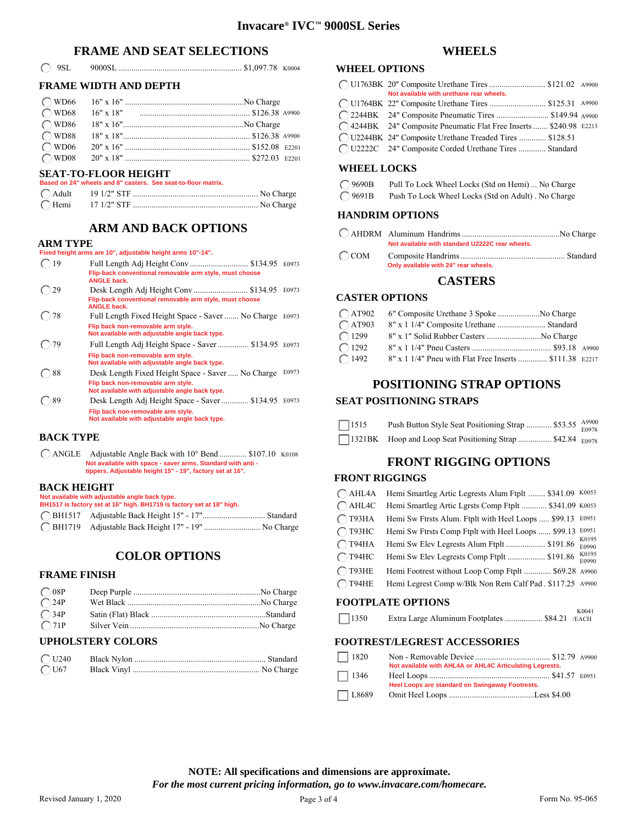## **FRAME AND SEAT SELECTIONS**

|  | $\bigcirc$ 9SL |  |  |  |  |
|--|----------------|--|--|--|--|
|--|----------------|--|--|--|--|

## **FRAME WIDTH AND DEPTH**

## **SEAT-TO-FLOOR HEIGHT**

| Based on 24" wheels and 8" casters. See seat-to-floor matrix. |  |
|---------------------------------------------------------------|--|
|                                                               |  |
|                                                               |  |

## **ARM AND BACK OPTIONS**

#### **ARM TYPE**

|                 | Fixed height arms are 10", adjustable height arms 10"-14".                                                                                   |       |
|-----------------|----------------------------------------------------------------------------------------------------------------------------------------------|-------|
| 19              | Flip-back conventional removable arm style, must choose                                                                                      | E0973 |
| $\binom{1}{29}$ | <b>ANGLE back.</b><br>Flip-back conventional removable arm style, must choose<br><b>ANGLE back.</b>                                          | E0973 |
| $\bigcirc$ 78   | Full Length Fixed Height Space - Saver  No Charge<br>Flip back non-removable arm style.                                                      | E0973 |
| 79              | Not available with adjustable angle back type.<br>Full Length Adj Height Space - Saver  \$134.95 E0973                                       |       |
|                 | Flip back non-removable arm style.<br>Not available with adjustable angle back type.                                                         |       |
| 88              | Desk Length Fixed Height Space - Saver  No Charge<br>Flip back non-removable arm style.                                                      | E0973 |
|                 | Not available with adjustable angle back type.                                                                                               |       |
| 89              | Desk Length Adj Height Space - Saver  \$134.95 E0973<br>Flip back non-removable arm style.<br>Not available with adjustable angle back type. |       |

### **BACK TYPE**

ANGLE Adjustable Angle Back with 10° Bend ............. \$107.10 K0108 **Not available with space - saver arms. Standard with anti - tippers. Adjustable height 15" - 19", factory set at 16".**

### **BACK HEIGHT**

| рден причит                                    |                                                                       |  |  |  |
|------------------------------------------------|-----------------------------------------------------------------------|--|--|--|
| Not available with adjustable angle back type. |                                                                       |  |  |  |
|                                                | BH1517 is factory set at 16" high. BH1719 is factory set at 18" high. |  |  |  |
|                                                |                                                                       |  |  |  |
|                                                | ◯ BH1719 Adjustable Back Height 17" - 19"  No Charge                  |  |  |  |

# **COLOR OPTIONS**

#### **FRAME FINISH**

| $\bigcirc$ 08P     |  |
|--------------------|--|
| $\overline{O}$ 24P |  |
| $\bigcap$ 34P      |  |
| O71P               |  |

## **UPHOLSTERY COLORS**

| $\bigcirc$ U240 |  |
|-----------------|--|
| $\bigcirc$ U67  |  |

## **WHEELS**

### **WHEEL OPTIONS**

| ◯ U1763BK 20" Composite Urethane Tires  \$121.02 A9900<br>Not available with urethane rear wheels. |  |
|----------------------------------------------------------------------------------------------------|--|
| ◯ U1764BK 22" Composite Urethane Tires  \$125.31 A9900                                             |  |
| C) 2244BK 24" Composite Pneumatic Tires  \$149.94 A9900                                            |  |
| ◯ 4244BK 24" Composite Pneumatic Flat Free Inserts  \$240.98 E2213                                 |  |
| ◯ U2244BK 24" Composite Urethane Treaded Tires  \$128.51                                           |  |
| ◯ U2222C 24" Composite Corded Urethane Tires  Standard                                             |  |

#### **WHEEL LOCKS**

| $\bigcirc$ 9690B | Pull To Lock Wheel Locks (Std on Hemi)  No Charge  |
|------------------|----------------------------------------------------|
| $O$ 9691B        | Push To Lock Wheel Locks (Std on Adult). No Charge |

## **HANDRIM OPTIONS**

| Not available with standard U2222C rear wheels. |          |
|-------------------------------------------------|----------|
| $\bigcap$ COM Composite Handrims                | Standard |

COM Composite Handrims .................................................. Standard **Only available with 24" rear wheels.**

## **CASTERS**

### **CASTER OPTIONS**

| $\bigcap$ AT902 | 6" Composite Urethane 3 Spoke No Charge                 |  |
|-----------------|---------------------------------------------------------|--|
| $\bigcap$ AT903 |                                                         |  |
| $\bigcap$ 1299  | 8" x 1" Solid Rubber Casters No Charge                  |  |
| $\bigcap$ 1292  |                                                         |  |
| $\bigcap$ 1492  | 8" x 1 1/4" Pneu with Flat Free Inserts  \$111.38 E2217 |  |

# **POSITIONING STRAP OPTIONS**

## **SEAT POSITIONING STRAPS**

| $\Box$ 1515 | Push Button Style Seat Positioning Strap  \$53.55 A9900    |  |
|-------------|------------------------------------------------------------|--|
|             | 1321BK Hoop and Loop Seat Positioning Strap  \$42.84 E0978 |  |

## **FRONT RIGGING OPTIONS**

## **FRONT RIGGINGS**

| $\bigcap$ AHL4A | Hemi Smartleg Artic Legrests Alum Ftplt  \$341.09        | K0053          |
|-----------------|----------------------------------------------------------|----------------|
| $\bigcap$ AHL4C | Hemi Smartleg Artic Lgrsts Comp Ftplt  \$341.09 K0053    |                |
| $\bigcap$ T93HA | Hemi Sw Ftrsts Alum. Ftplt with Heel Loops  \$99.13      | E0951          |
| $\bigcap$ T93HC | Hemi Sw Ftrsts Comp Ftplt with Heel Loops  \$99.13       | E0951          |
| $\bigcap$ T94HA | Hemi Sw Elev Legrests Alum Ftplt  \$191.86               | K0195<br>E0990 |
| $\bigcap$ T94HC | Hemi Sw Elev Legrests Comp Ftplt  \$191.86               | K0195<br>E0990 |
| $\bigcap$ T93HE | Hemi Footrest without Loop Comp Ftplt  \$69.28 A9900     |                |
| $\bigcap$ T94HE | Hemi Legrest Comp w/Blk Non Rem Calf Pad. \$117.25 A9900 |                |
|                 |                                                          |                |

## **FOOTPLATE OPTIONS**

|             | .                                              |       |
|-------------|------------------------------------------------|-------|
|             |                                                | K0041 |
| $\Box$ 1350 | Extra Large Aluminum Footplates  \$84.21 /EACH |       |

## **FOOTREST/LEGREST ACCESSORIES**

| $\Box$ 1820  |                                                          |  |
|--------------|----------------------------------------------------------|--|
|              | Not available with AHL4A or AHL4C Articulating Legrests. |  |
| $\Box$ 1346  |                                                          |  |
|              | Heel Loops are standard on Swingaway Footrests.          |  |
| $\Box$ L8689 |                                                          |  |